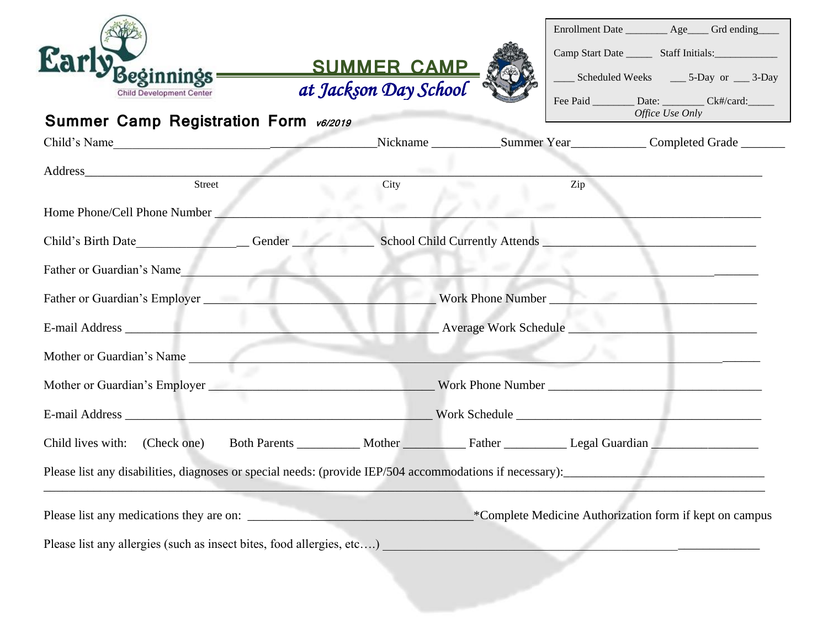| <b>Child Development Center</b>                                                                          | Beginnings SUMMER CAMP<br>at Jackson Day School |  | Enrollment Date __________ Age_____ Grd ending<br>_____ Scheduled Weeks ______ 5-Day or _____ 3-Day<br>Fee Paid _________ Date: __________ Ck#/card: ______ |  |  |  |
|----------------------------------------------------------------------------------------------------------|-------------------------------------------------|--|-------------------------------------------------------------------------------------------------------------------------------------------------------------|--|--|--|
| <b>Summer Camp Registration Form v6/2019</b>                                                             |                                                 |  | Office Use Only                                                                                                                                             |  |  |  |
| Child's Name                                                                                             |                                                 |  |                                                                                                                                                             |  |  |  |
| Street                                                                                                   | City                                            |  | Zip                                                                                                                                                         |  |  |  |
| Home Phone/Cell Phone Number                                                                             |                                                 |  |                                                                                                                                                             |  |  |  |
|                                                                                                          |                                                 |  |                                                                                                                                                             |  |  |  |
| Father or Guardian's Name<br>the contract of the contract of                                             |                                                 |  |                                                                                                                                                             |  |  |  |
| Father or Guardian's Employer                                                                            |                                                 |  | Work Phone Number                                                                                                                                           |  |  |  |
|                                                                                                          |                                                 |  |                                                                                                                                                             |  |  |  |
| Mother or Guardian's Name                                                                                |                                                 |  |                                                                                                                                                             |  |  |  |
|                                                                                                          |                                                 |  |                                                                                                                                                             |  |  |  |
|                                                                                                          |                                                 |  |                                                                                                                                                             |  |  |  |
| Child lives with: (Check one) Both Parents _________ Mother _________ Father __________ Legal Guardian   |                                                 |  |                                                                                                                                                             |  |  |  |
| Please list any disabilities, diagnoses or special needs: (provide IEP/504 accommodations if necessary): |                                                 |  |                                                                                                                                                             |  |  |  |
| Please list any allergies (such as insect bites, food allergies, etc)                                    |                                                 |  | *Complete Medicine Authorization form if kept on campus                                                                                                     |  |  |  |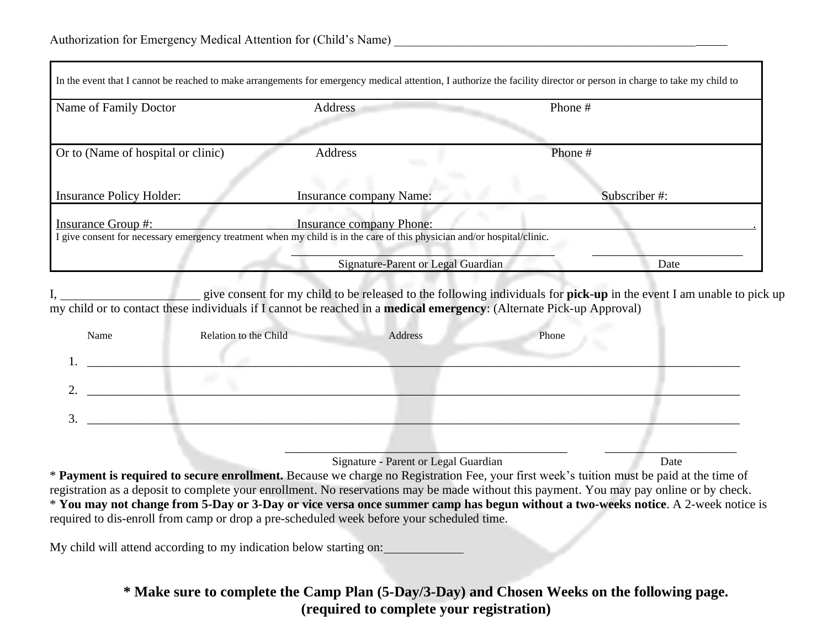| In the event that I cannot be reached to make arrangements for emergency medical attention, I authorize the facility director or person in charge to take my child to                   |                                    |              |  |  |  |  |
|-----------------------------------------------------------------------------------------------------------------------------------------------------------------------------------------|------------------------------------|--------------|--|--|--|--|
| Name of Family Doctor                                                                                                                                                                   | Address                            | Phone #      |  |  |  |  |
|                                                                                                                                                                                         |                                    |              |  |  |  |  |
| Or to (Name of hospital or clinic)                                                                                                                                                      | Address                            | Phone#       |  |  |  |  |
|                                                                                                                                                                                         |                                    |              |  |  |  |  |
| <b>Insurance Policy Holder:</b>                                                                                                                                                         | <b>Insurance company Name:</b>     | Subscriber#: |  |  |  |  |
| <b>Insurance Group #:</b><br><b>Insurance company Phone:</b><br>I give consent for necessary emergency treatment when my child is in the care of this physician and/or hospital/clinic. |                                    |              |  |  |  |  |
|                                                                                                                                                                                         | Signature-Parent or Legal Guardian | Date         |  |  |  |  |

I, give consent for my child to be released to the following individuals for **pick-up** in the event I am unable to pick up my child or to contact these individuals if I cannot be reached in a **medical emergency**: (Alternate Pick-up Approval)

| Name                          | Relation to the Child | Address | Phone |  |
|-------------------------------|-----------------------|---------|-------|--|
| <b>.</b>                      |                       |         |       |  |
| ി<br>∼                        |                       |         |       |  |
| $\mathbf{c}$<br>$\mathcal{L}$ |                       |         |       |  |

 $\mathcal{L}_\mathcal{L}$  , which is a set of the contract of the contract of the contract of the contract of the contract of the contract of the contract of the contract of the contract of the contract of the contract of the contra

Signature - Parent or Legal Guardian Date

\* **Payment is required to secure enrollment.** Because we charge no Registration Fee, your first week's tuition must be paid at the time of registration as a deposit to complete your enrollment. No reservations may be made without this payment. You may pay online or by check. \* **You may not change from 5-Day or 3-Day or vice versa once summer camp has begun without a two-weeks notice**. A 2-week notice is required to dis-enroll from camp or drop a pre-scheduled week before your scheduled time.

My child will attend according to my indication below starting on:

## **\* Make sure to complete the Camp Plan (5-Day/3-Day) and Chosen Weeks on the following page. (required to complete your registration)**